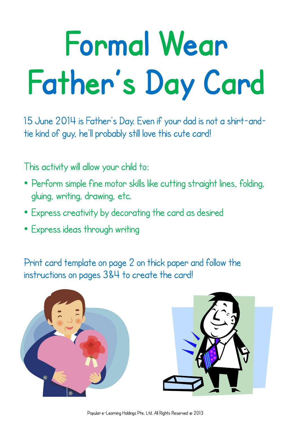## **Formal Wear Father's Day Card**

15 June 2014 is Father's Day. Even if your dad is not a shirt-andtie kind of guy, he'll probably still love this cute card!

This activity will allow your child to:

- Perform simple fine motor skills like cutting straight lines, folding, gluing, writing, drawing, etc.
- Express creativity by decorating the card as desired
- Express ideas through writing

Print card template on page 2 on thick paper and follow the instructions on pages 3&4 to create the card!

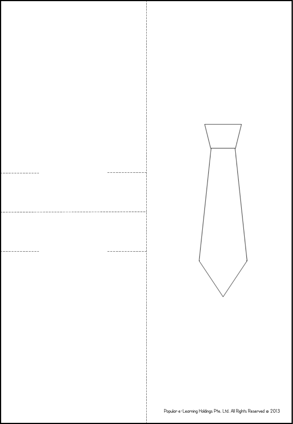

. \_ \_ \_ \_ \_ \_ \_ \_ \_ \_

. . . . . . . .

 $- - - -$ 

L.

 $-$ 

\_\_\_\_\_\_\_\_\_\_\_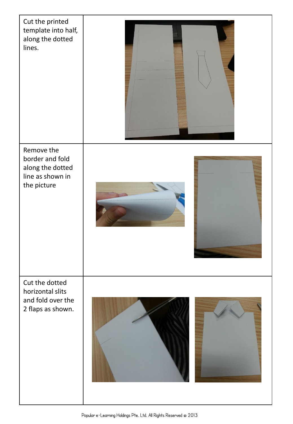